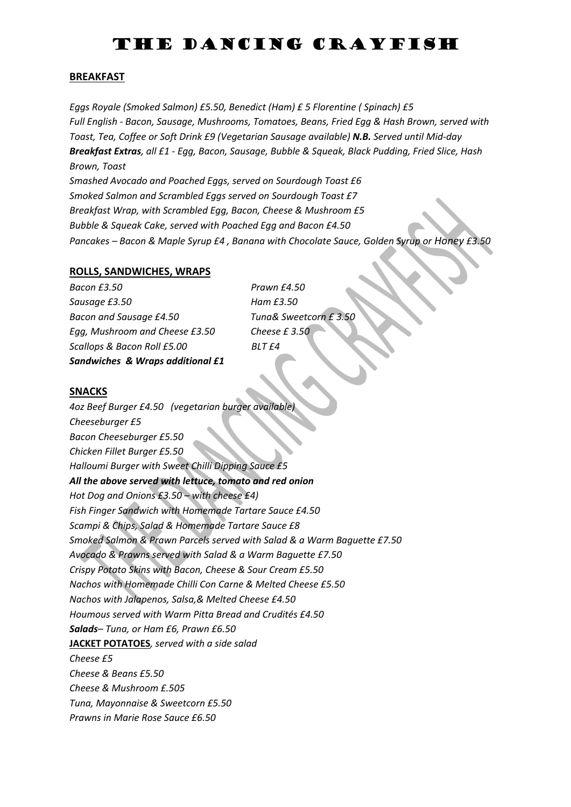# THE DANCING CRAYFISH

### **BREAKFAST**

*Eggs Royale (Smoked Salmon) £5.50, Benedict (Ham) £ 5 Florentine ( Spinach) £5 Full English - Bacon, Sausage, Mushrooms, Tomatoes, Beans, Fried Egg & Hash Brown, served with Toast, Tea, Coffee or Soft Drink £9 (Vegetarian Sausage available) N.B. Served until Mid-day Breakfast Extras, all £1 - Egg, Bacon, Sausage, Bubble & Squeak, Black Pudding, Fried Slice, Hash Brown, Toast Smashed Avocado and Poached Eggs, served on Sourdough Toast £6 Smoked Salmon and Scrambled Eggs served on Sourdough Toast £7 Breakfast Wrap, with Scrambled Egg, Bacon, Cheese & Mushroom £5 Bubble & Squeak Cake, served with Poached Egg and Bacon £4.50 Pancakes – Bacon & Maple Syrup £4 , Banana with Chocolate Sauce, Golden Syrup or Honey £3.50*

#### **ROLLS, SANDWICHES, WRAPS**

*Bacon £3.50 Prawn £4.50 Sausage £3.50 Ham £3.50 Bacon and Sausage £4.50 Tuna& Sweetcorn £ 3.50 Egg, Mushroom and Cheese £3.50 Cheese £ 3.50 Scallops & Bacon Roll £5.00 BLT £4 Sandwiches & Wraps additional £1*

#### **SNACKS**

*4oz Beef Burger £4.50 (vegetarian burger available) Cheeseburger £5 Bacon Cheeseburger £5.50 Chicken Fillet Burger £5.50 Halloumi Burger with Sweet Chilli Dipping Sauce £5 All the above served with lettuce, tomato and red onion Hot Dog and Onions £3.50 – with cheese £4) Fish Finger Sandwich with Homemade Tartare Sauce £4.50 Scampi & Chips, Salad & Homemade Tartare Sauce £8 Smoked Salmon & Prawn Parcels served with Salad & a Warm Baguette £7.50 Avocado & Prawns served with Salad & a Warm Baguette £7.50 Crispy Potato Skins with Bacon, Cheese & Sour Cream £5.50 Nachos with Homemade Chilli Con Carne & Melted Cheese £5.50 Nachos with Jalapenos, Salsa,& Melted Cheese £4.50 Houmous served with Warm Pitta Bread and Crudités £4.50 Salads– Tuna, or Ham £6, Prawn £6.50* **JACKET POTATOES***, served with a side salad Cheese £5 Cheese & Beans £5.50 Cheese & Mushroom £.505 Tuna, Mayonnaise & Sweetcorn £5.50 Prawns in Marie Rose Sauce £6.50*